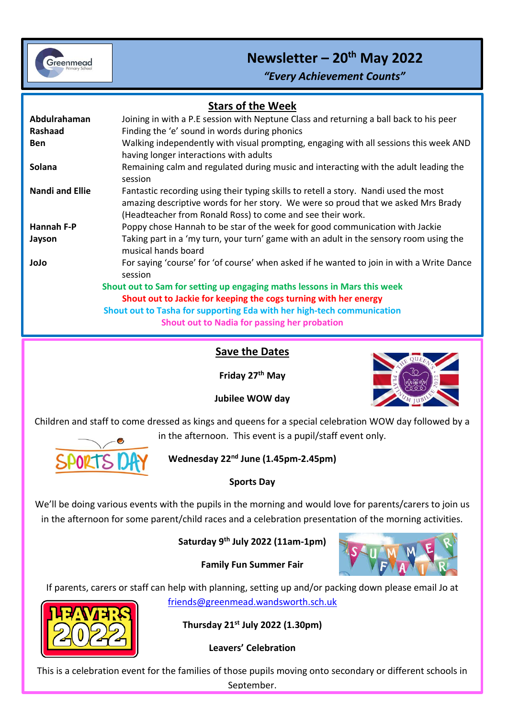

# **Newsletter – 20th May 2022**

*"Every Achievement Counts"*

| <b>Stars of the Week</b> |                                                                                                                                                                                                                                         |
|--------------------------|-----------------------------------------------------------------------------------------------------------------------------------------------------------------------------------------------------------------------------------------|
| Abdulrahaman             | Joining in with a P.E session with Neptune Class and returning a ball back to his peer                                                                                                                                                  |
| Rashaad                  | Finding the 'e' sound in words during phonics                                                                                                                                                                                           |
| <b>Ben</b>               | Walking independently with visual prompting, engaging with all sessions this week AND<br>having longer interactions with adults                                                                                                         |
| Solana                   | Remaining calm and regulated during music and interacting with the adult leading the<br>session                                                                                                                                         |
| <b>Nandi and Ellie</b>   | Fantastic recording using their typing skills to retell a story. Nandi used the most<br>amazing descriptive words for her story. We were so proud that we asked Mrs Brady<br>(Headteacher from Ronald Ross) to come and see their work. |
| Hannah F-P               | Poppy chose Hannah to be star of the week for good communication with Jackie                                                                                                                                                            |
| Jayson                   | Taking part in a 'my turn, your turn' game with an adult in the sensory room using the<br>musical hands board                                                                                                                           |
| olol                     | For saying 'course' for 'of course' when asked if he wanted to join in with a Write Dance<br>session                                                                                                                                    |
|                          | Shout out to Sam for setting up engaging maths lessons in Mars this week                                                                                                                                                                |
|                          | Shout out to Jackie for keeping the cogs turning with her energy                                                                                                                                                                        |
|                          | Shout out to Tasha for supporting Eda with her high-tech communication                                                                                                                                                                  |
|                          | Shout out to Nadia for passing her probation                                                                                                                                                                                            |

i<br>I

#### **Save the Dates**

**Friday 27th May**



**Jubilee WOW day**

Children and staff to come dressed as kings and queens for a special celebration WOW day followed by a in the afternoon. This event is a pupil/staff event only.



**Wednesday 22nd June (1.45pm-2.45pm)**

#### **Sports Day**

We'll be doing various events with the pupils in the morning and would love for parents/carers to join us in the afternoon for some parent/child races and a celebration presentation of the morning activities.

#### **Saturday 9th July 2022 (11am-1pm)**



**Family Fun Summer Fair**

If parents, carers or staff can help with planning, setting up and/or packing down please email Jo at

[friends@greenmead.wandsworth.sch.uk](mailto:friends@greenmead.wandsworth.sch.uk)



**Thursday 21st July 2022 (1.30pm)**

**Leavers' Celebration**

This is a celebration event for the families of those pupils moving onto secondary or different schools in September.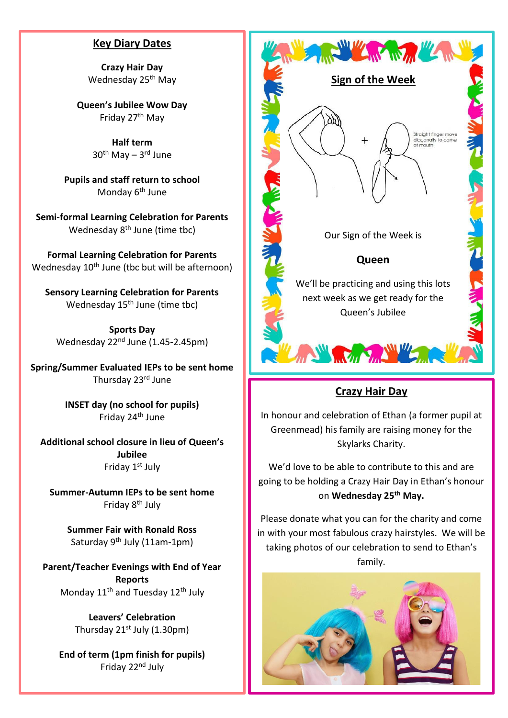#### **Key Diary Dates**

**Crazy Hair Day** Wednesday 25<sup>th</sup> May

**Queen's Jubilee Wow Day** Friday 27th May

> **Half term** 30<sup>th</sup> May – 3<sup>rd</sup> June

**Pupils and staff return to school** Monday 6<sup>th</sup> June

**Semi-formal Learning Celebration for Parents** Wednesday 8<sup>th</sup> June (time tbc)

**Formal Learning Celebration for Parents** Wednesday 10<sup>th</sup> June (tbc but will be afternoon)

**Sensory Learning Celebration for Parents** Wednesday  $15<sup>th</sup>$  June (time tbc)

**Sports Day** Wednesday 22<sup>nd</sup> June (1.45-2.45pm)

**Spring/Summer Evaluated IEPs to be sent home** Thursday 23rd June

> **INSET day (no school for pupils)** Friday 24<sup>th</sup> June

**Additional school closure in lieu of Queen's Jubilee** Friday 1<sup>st</sup> July

**Summer-Autumn IEPs to be sent home** Friday 8th July

> **Summer Fair with Ronald Ross** Saturday 9<sup>th</sup> July (11am-1pm)

**Parent/Teacher Evenings with End of Year Reports** Monday 11<sup>th</sup> and Tuesday 12<sup>th</sup> July

> **Leavers' Celebration** Thursday  $21^{st}$  July (1.30pm)

**End of term (1pm finish for pupils)** Friday 22nd July



#### **Crazy Hair Day**

In honour and celebration of Ethan (a former pupil at Greenmead) his family are raising money for the Skylarks Charity.

We'd love to be able to contribute to this and are going to be holding a Crazy Hair Day in Ethan's honour on **Wednesday 25th May.**

Please donate what you can for the charity and come in with your most fabulous crazy hairstyles. We will be taking photos of our celebration to send to Ethan's family.

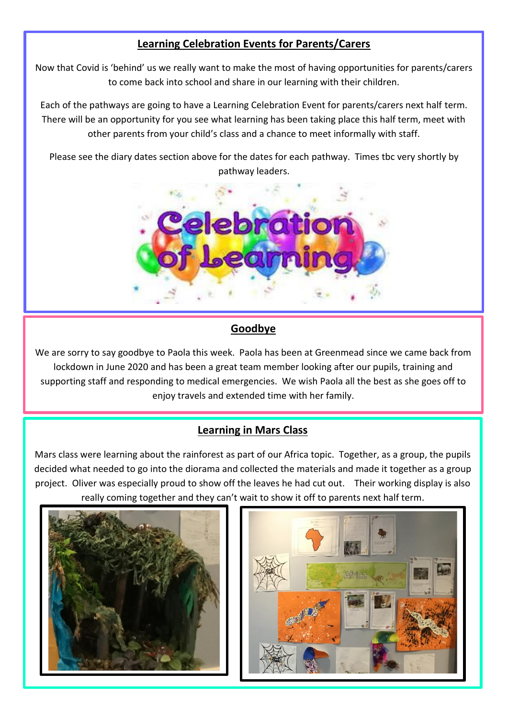## **Learning Celebration Events for Parents/Carers**

Now that Covid is 'behind' us we really want to make the most of having opportunities for parents/carers to come back into school and share in our learning with their children.

Each of the pathways are going to have a Learning Celebration Event for parents/carers next half term. There will be an opportunity for you see what learning has been taking place this half term, meet with other parents from your child's class and a chance to meet informally with staff.

Please see the diary dates section above for the dates for each pathway. Times tbc very shortly by pathway leaders.



### **Goodbye**

We are sorry to say goodbye to Paola this week. Paola has been at Greenmead since we came back from lockdown in June 2020 and has been a great team member looking after our pupils, training and supporting staff and responding to medical emergencies. We wish Paola all the best as she goes off to enjoy travels and extended time with her family.

#### **Learning in Mars Class**

Mars class were learning about the rainforest as part of our Africa topic. Together, as a group, the pupils decided what needed to go into the diorama and collected the materials and made it together as a group project. Oliver was especially proud to show off the leaves he had cut out. Their working display is also really coming together and they can't wait to show it off to parents next half term.